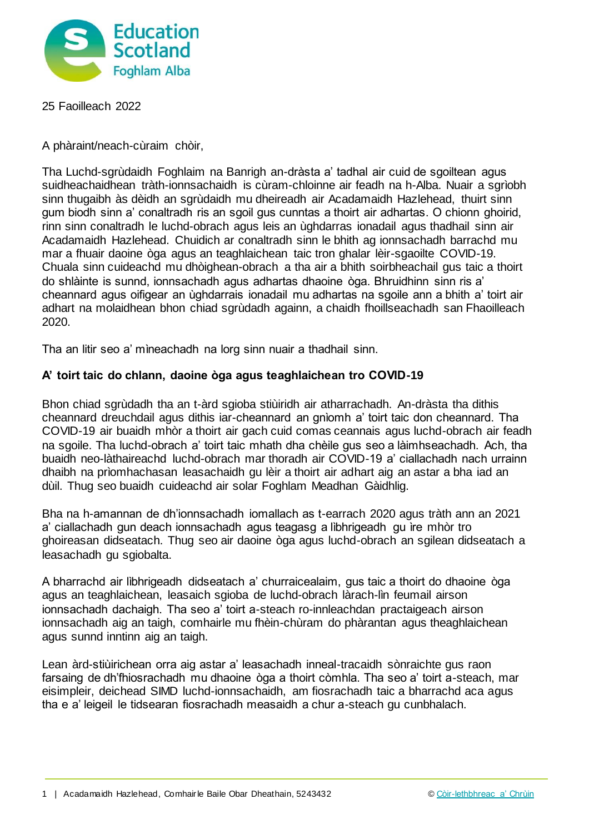

25 Faoilleach 2022

A phàraint/neach-cùraim chòir,

Tha Luchd-sgrùdaidh Foghlaim na Banrigh an-dràsta a' tadhal air cuid de sgoiltean agus suidheachaidhean tràth-ionnsachaidh is cùram-chloinne air feadh na h-Alba. Nuair a sgrìobh sinn thugaibh às dèidh an sgrùdaidh mu dheireadh air Acadamaidh Hazlehead, thuirt sinn gum biodh sinn a' conaltradh ris an sgoil gus cunntas a thoirt air adhartas. O chionn ghoirid, rinn sinn conaltradh le luchd-obrach agus leis an ùghdarras ionadail agus thadhail sinn air Acadamaidh Hazlehead. Chuidich ar conaltradh sinn le bhith ag ionnsachadh barrachd mu mar a fhuair daoine òga agus an teaghlaichean taic tron ghalar lèir-sgaoilte COVID-19. Chuala sinn cuideachd mu dhòighean-obrach a tha air a bhith soirbheachail gus taic a thoirt do shlàinte is sunnd, ionnsachadh agus adhartas dhaoine òga. Bhruidhinn sinn ris a' cheannard agus oifigear an ùghdarrais ionadail mu adhartas na sgoile ann a bhith a' toirt air adhart na molaidhean bhon chiad sgrùdadh againn, a chaidh fhoillseachadh san Fhaoilleach 2020.

Tha an litir seo a' mìneachadh na lorg sinn nuair a thadhail sinn.

## **A' toirt taic do chlann, daoine òga agus teaghlaichean tro COVID-19**

Bhon chiad sgrùdadh tha an t-àrd sgioba stiùiridh air atharrachadh. An-dràsta tha dithis cheannard dreuchdail agus dithis iar-cheannard an gnìomh a' toirt taic don cheannard. Tha COVID-19 air buaidh mhòr a thoirt air gach cuid comas ceannais agus luchd-obrach air feadh na sgoile. Tha luchd-obrach a' toirt taic mhath dha chèile gus seo a làimhseachadh. Ach, tha buaidh neo-làthaireachd luchd-obrach mar thoradh air COVID-19 a' ciallachadh nach urrainn dhaibh na prìomhachasan leasachaidh gu lèir a thoirt air adhart aig an astar a bha iad an dùil. Thug seo buaidh cuideachd air solar Foghlam Meadhan Gàidhlig.

Bha na h-amannan de dh'ionnsachadh iomallach as t-earrach 2020 agus tràth ann an 2021 a' ciallachadh gun deach ionnsachadh agus teagasg a lìbhrigeadh gu ìre mhòr tro ghoireasan didseatach. Thug seo air daoine òga agus luchd-obrach an sgilean didseatach a leasachadh gu sgiobalta.

A bharrachd air lìbhrigeadh didseatach a' churraicealaim, gus taic a thoirt do dhaoine òga agus an teaghlaichean, leasaich sgioba de luchd-obrach làrach-lìn feumail airson ionnsachadh dachaigh. Tha seo a' toirt a-steach ro-innleachdan practaigeach airson ionnsachadh aig an taigh, comhairle mu fhèin-chùram do phàrantan agus theaghlaichean agus sunnd inntinn aig an taigh.

Lean àrd-stiùirichean orra aig astar a' leasachadh inneal-tracaidh sònraichte gus raon farsaing de dh'fhiosrachadh mu dhaoine òga a thoirt còmhla. Tha seo a' toirt a-steach, mar eisimpleir, deichead SIMD luchd-ionnsachaidh, am fiosrachadh taic a bharrachd aca agus tha e a' leigeil le tidsearan fiosrachadh measaidh a chur a-steach gu cunbhalach.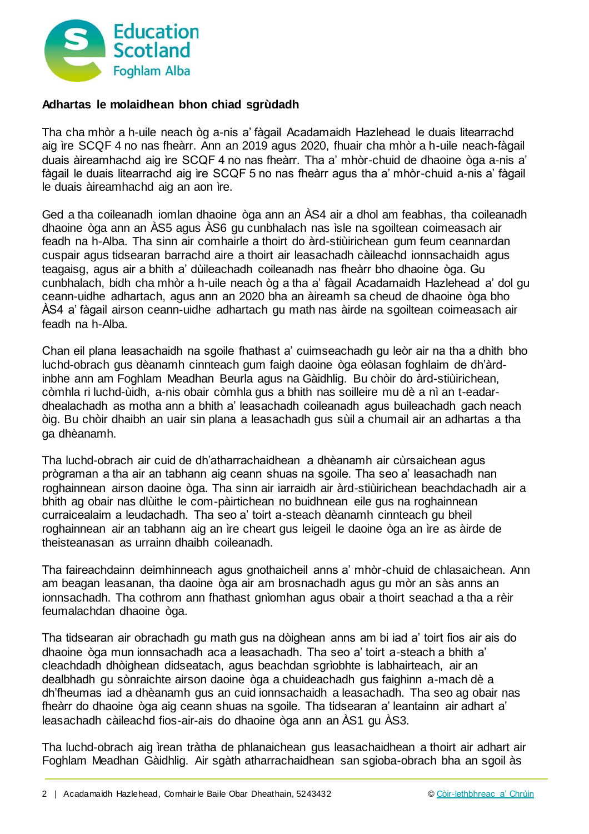

## **Adhartas le molaidhean bhon chiad sgrùdadh**

Tha cha mhòr a h-uile neach òg a-nis a' fàgail Acadamaidh Hazlehead le duais litearrachd aig ìre SCQF 4 no nas fheàrr. Ann an 2019 agus 2020, fhuair cha mhòr a h-uile neach-fàgail duais àireamhachd aig ìre SCQF 4 no nas fheàrr. Tha a' mhòr-chuid de dhaoine òga a-nis a' fàgail le duais litearrachd aig ìre SCQF 5 no nas fheàrr agus tha a' mhòr-chuid a-nis a' fàgail le duais àireamhachd aig an aon ìre.

Ged a tha coileanadh iomlan dhaoine òga ann an ÀS4 air a dhol am feabhas, tha coileanadh dhaoine òga ann an ÀS5 agus ÀS6 gu cunbhalach nas ìsle na sgoiltean coimeasach air feadh na h-Alba. Tha sinn air comhairle a thoirt do àrd-stiùirichean gum feum ceannardan cuspair agus tidsearan barrachd aire a thoirt air leasachadh càileachd ionnsachaidh agus teagaisg, agus air a bhith a' dùileachadh coileanadh nas fheàrr bho dhaoine òga. Gu cunbhalach, bidh cha mhòr a h-uile neach òg a tha a' fàgail Acadamaidh Hazlehead a' dol gu ceann-uidhe adhartach, agus ann an 2020 bha an àireamh sa cheud de dhaoine òga bho ÀS4 a' fàgail airson ceann-uidhe adhartach gu math nas àirde na sgoiltean coimeasach air feadh na h-Alba.

Chan eil plana leasachaidh na sgoile fhathast a' cuimseachadh gu leòr air na tha a dhìth bho luchd-obrach gus dèanamh cinnteach gum faigh daoine òga eòlasan foghlaim de dh'àrdinbhe ann am Foghlam Meadhan Beurla agus na Gàidhlig. Bu chòir do àrd-stiùirichean, còmhla ri luchd-ùidh, a-nis obair còmhla gus a bhith nas soilleire mu dè a nì an t-eadardhealachadh as motha ann a bhith a' leasachadh coileanadh agus buileachadh gach neach òig. Bu chòir dhaibh an uair sin plana a leasachadh gus sùil a chumail air an adhartas a tha ga dhèanamh.

Tha luchd-obrach air cuid de dh'atharrachaidhean a dhèanamh air cùrsaichean agus prògraman a tha air an tabhann aig ceann shuas na sgoile. Tha seo a' leasachadh nan roghainnean airson daoine òga. Tha sinn air iarraidh air àrd-stiùirichean beachdachadh air a bhith ag obair nas dlùithe le com-pàirtichean no buidhnean eile gus na roghainnean curraicealaim a leudachadh. Tha seo a' toirt a-steach dèanamh cinnteach gu bheil roghainnean air an tabhann aig an ìre cheart gus leigeil le daoine òga an ìre as àirde de theisteanasan as urrainn dhaibh coileanadh.

Tha faireachdainn deimhinneach agus gnothaicheil anns a' mhòr-chuid de chlasaichean. Ann am beagan leasanan, tha daoine òga air am brosnachadh agus gu mòr an sàs anns an ionnsachadh. Tha cothrom ann fhathast gnìomhan agus obair a thoirt seachad a tha a rèir feumalachdan dhaoine òga.

Tha tidsearan air obrachadh gu math gus na dòighean anns am bi iad a' toirt fios air ais do dhaoine òga mun ionnsachadh aca a leasachadh. Tha seo a' toirt a-steach a bhith a' cleachdadh dhòighean didseatach, agus beachdan sgrìobhte is labhairteach, air an dealbhadh gu sònraichte airson daoine òga a chuideachadh gus faighinn a-mach dè a dh'fheumas iad a dhèanamh gus an cuid ionnsachaidh a leasachadh. Tha seo ag obair nas fheàrr do dhaoine òga aig ceann shuas na sgoile. Tha tidsearan a' leantainn air adhart a' leasachadh càileachd fios-air-ais do dhaoine òga ann an ÀS1 gu ÀS3.

Tha luchd-obrach aig ìrean tràtha de phlanaichean gus leasachaidhean a thoirt air adhart air Foghlam Meadhan Gàidhlig. Air sgàth atharrachaidhean san sgioba-obrach bha an sgoil às